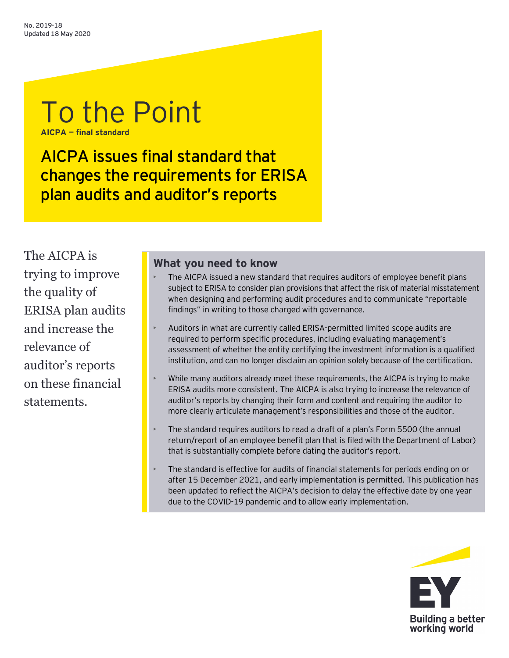# To the Point **AICPA** - final standar

AICPA issues final standard that changes the requirements for ERISA plan audits and auditor's reports

The AICPA is trying to improve the quality of ERISA plan audits and increase the relevance of auditor's reports on these financial statements.

# **What you need to know**

- The AICPA issued a new standard that requires auditors of employee benefit plans subject to ERISA to consider plan provisions that affect the risk of material misstatement when designing and performing audit procedures and to communicate "reportable findings" in writing to those charged with governance.
- Auditors in what are currently called ERISA-permitted limited scope audits are required to perform specific procedures, including evaluating management's assessment of whether the entity certifying the investment information is a qualified institution, and can no longer disclaim an opinion solely because of the certification.
- While many auditors already meet these requirements, the AICPA is trying to make ERISA audits more consistent. The AICPA is also trying to increase the relevance of auditor's reports by changing their form and content and requiring the auditor to more clearly articulate management's responsibilities and those of the auditor.
- The standard requires auditors to read a draft of a plan's Form 5500 (the annual return/report of an employee benefit plan that is filed with the Department of Labor) that is substantially complete before dating the auditor's report.
- The standard is effective for audits of financial statements for periods ending on or after 15 December 2021, and early implementation is permitted. This publication has been updated to reflect the AICPA's decision to delay the effective date by one year due to the COVID-19 pandemic and to allow early implementation.

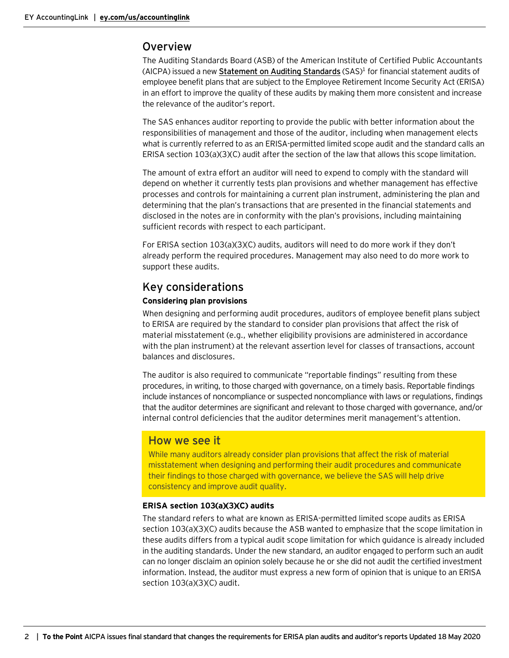# Overview

The Auditing Standards Board (ASB) of the American Institute of Certified Public Accountants (AICPA) issued a new **[Statement on Auditing Standards](https://www.aicpa.org/content/dam/aicpa/research/standards/auditattest/downloadabledocuments/sas-136.pdf)** (SAS)1 for financial statement audits of employee benefit plans that are subject to the Employee Retirement Income Security Act (ERISA) in an effort to improve the quality of these audits by making them more consistent and increase the relevance of the auditor's report.

The SAS enhances auditor reporting to provide the public with better information about the responsibilities of management and those of the auditor, including when management elects what is currently referred to as an ERISA-permitted limited scope audit and the standard calls an ERISA section 103(a)(3)(C) audit after the section of the law that allows this scope limitation.

The amount of extra effort an auditor will need to expend to comply with the standard will depend on whether it currently tests plan provisions and whether management has effective processes and controls for maintaining a current plan instrument, administering the plan and determining that the plan's transactions that are presented in the financial statements and disclosed in the notes are in conformity with the plan's provisions, including maintaining sufficient records with respect to each participant.

For ERISA section 103(a)(3)(C) audits, auditors will need to do more work if they don't already perform the required procedures. Management may also need to do more work to support these audits.

# Key considerations

# **Considering plan provisions**

When designing and performing audit procedures, auditors of employee benefit plans subject to ERISA are required by the standard to consider plan provisions that affect the risk of material misstatement (e.g., whether eligibility provisions are administered in accordance with the plan instrument) at the relevant assertion level for classes of transactions, account balances and disclosures.

The auditor is also required to communicate "reportable findings" resulting from these procedures, in writing, to those charged with governance, on a timely basis. Reportable findings include instances of noncompliance or suspected noncompliance with laws or regulations, findings that the auditor determines are significant and relevant to those charged with governance, and/or internal control deficiencies that the auditor determines merit management's attention.

# How we see it

While many auditors already consider plan provisions that affect the risk of material misstatement when designing and performing their audit procedures and communicate their findings to those charged with governance, we believe the SAS will help drive consistency and improve audit quality.

# **ERISA section 103(a)(3)(C) audits**

The standard refers to what are known as ERISA-permitted limited scope audits as ERISA section 103(a)(3)(C) audits because the ASB wanted to emphasize that the scope limitation in these audits differs from a typical audit scope limitation for which guidance is already included in the auditing standards. Under the new standard, an auditor engaged to perform such an audit can no longer disclaim an opinion solely because he or she did not audit the certified investment information. Instead, the auditor must express a new form of opinion that is unique to an ERISA section 103(a)(3)(C) audit.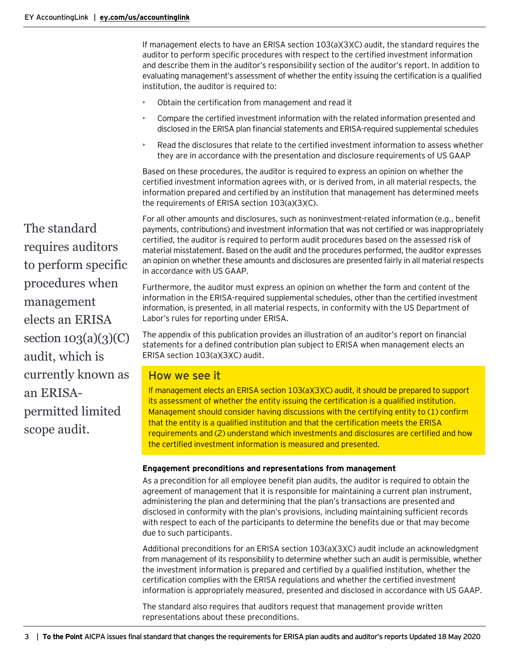If management elects to have an ERISA section 103(a)(3)(C) audit, the standard requires the auditor to perform specific procedures with respect to the certified investment information and describe them in the auditor's responsibility section of the auditor's report. In addition to evaluating management's assessment of whether the entity issuing the certification is a qualified institution, the auditor is required to:

- Obtain the certification from management and read it
- Compare the certified investment information with the related information presented and disclosed in the ERISA plan financial statements and ERISA-required supplemental schedules
- Read the disclosures that relate to the certified investment information to assess whether they are in accordance with the presentation and disclosure requirements of US GAAP

Based on these procedures, the auditor is required to express an opinion on whether the certified investment information agrees with, or is derived from, in all material respects, the information prepared and certified by an institution that management has determined meets the requirements of ERISA section 103(a)(3)(C).

For all other amounts and disclosures, such as noninvestment-related information (e.g., benefit payments, contributions) and investment information that was not certified or was inappropriately certified, the auditor is required to perform audit procedures based on the assessed risk of material misstatement. Based on the audit and the procedures performed, the auditor expresses an opinion on whether these amounts and disclosures are presented fairly in all material respects in accordance with US GAAP.

Furthermore, the auditor must express an opinion on whether the form and content of the information in the ERISA-required supplemental schedules, other than the certified investment information, is presented, in all material respects, in conformity with the US Department of Labor's rules for reporting under ERISA.

The appendix of this publication provides an illustration of an auditor's report on financial statements for a defined contribution plan subject to ERISA when management elects an ERISA section 103(a)(3)(C) audit.

# How we see it

If management elects an ERISA section 103(a)(3)(C) audit, it should be prepared to support its assessment of whether the entity issuing the certification is a qualified institution. Management should consider having discussions with the certifying entity to (1) confirm that the entity is a qualified institution and that the certification meets the ERISA requirements and (2) understand which investments and disclosures are certified and how the certified investment information is measured and presented.

# **Engagement preconditions and representations from management**

As a precondition for all employee benefit plan audits, the auditor is required to obtain the agreement of management that it is responsible for maintaining a current plan instrument, administering the plan and determining that the plan's transactions are presented and disclosed in conformity with the plan's provisions, including maintaining sufficient records with respect to each of the participants to determine the benefits due or that may become due to such participants.

Additional preconditions for an ERISA section 103(a)(3)(C) audit include an acknowledgment from management of its responsibility to determine whether such an audit is permissible, whether the investment information is prepared and certified by a qualified institution, whether the certification complies with the ERISA regulations and whether the certified investment information is appropriately measured, presented and disclosed in accordance with US GAAP.

The standard also requires that auditors request that management provide written representations about these preconditions.

The standard requires auditors to perform specific procedures when management elects an ERISA section  $103(a)(3)(C)$ audit, which is currently known as an ERISApermitted limited scope audit.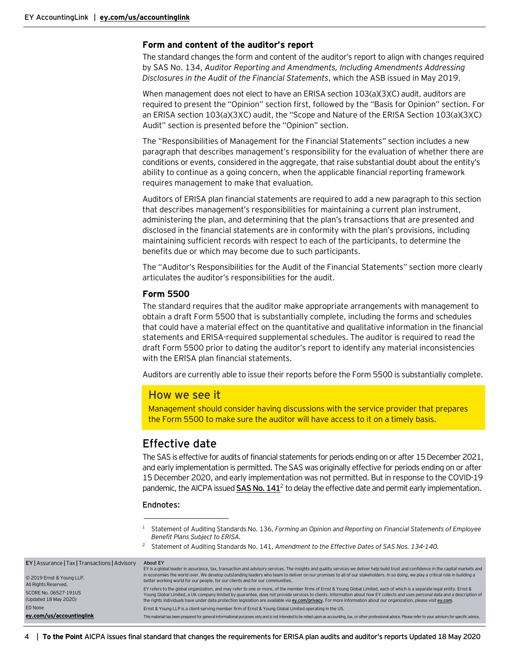### **Form and content of the auditor's report**

The standard changes the form and content of the auditor's report to align with changes required by SAS No. 134, *Auditor Reporting and Amendments, Including Amendments Addressing Disclosures in the Audit of the Financial Statements*, which the ASB issued in May 2019.

When management does not elect to have an ERISA section 103(a)(3)(C) audit, auditors are required to present the "Opinion" section first, followed by the "Basis for Opinion" section. For an ERISA section 103(a)(3)(C) audit, the "Scope and Nature of the ERISA Section 103(a)(3)(C) Audit" section is presented before the "Opinion" section.

The "Responsibilities of Management for the Financial Statements" section includes a new paragraph that describes management's responsibility for the evaluation of whether there are conditions or events, considered in the aggregate, that raise substantial doubt about the entity's ability to continue as a going concern, when the applicable financial reporting framework requires management to make that evaluation.

Auditors of ERISA plan financial statements are required to add a new paragraph to this section that describes management's responsibilities for maintaining a current plan instrument, administering the plan, and determining that the plan's transactions that are presented and disclosed in the financial statements are in conformity with the plan's provisions, including maintaining sufficient records with respect to each of the participants, to determine the benefits due or which may become due to such participants.

The "Auditor's Responsibilities for the Audit of the Financial Statements" section more clearly articulates the auditor's responsibilities for the audit.

# **Form 5500**

The standard requires that the auditor make appropriate arrangements with management to obtain a draft Form 5500 that is substantially complete, including the forms and schedules that could have a material effect on the quantitative and qualitative information in the financial statements and ERISA-required supplemental schedules. The auditor is required to read the draft Form 5500 prior to dating the auditor's report to identify any material inconsistencies with the ERISA plan financial statements.

Auditors are currently able to issue their reports before the Form 5500 is substantially complete.

# How we see it

Management should consider having discussions with the service provider that prepares the Form 5500 to make sure the auditor will have access to it on a timely basis.

# Effective date

 $\overline{\phantom{a}}$  , where  $\overline{\phantom{a}}$  , where  $\overline{\phantom{a}}$  , where  $\overline{\phantom{a}}$ 

The SAS is effective for audits of financial statements for periods ending on or after 15 December 2021, and early implementation is permitted. The SAS was originally effective for periods ending on or after 15 December 2020, and early implementation was not permitted. But in response to the COVID-19 pandemic, the AICPA issued **[SAS No. 141](https://www.aicpa.org/content/dam/aicpa/research/standards/auditattest/downloadabledocuments/sas-141.pdf)**<sup>2</sup> to delay the effective date and permit early implementation.

#### **Endnotes:**

<sup>1</sup> Statement of Auditing Standards No. 136, *Forming an Opinion and Reporting on Financial Statements of Employee Benefit Plans Subject to ERISA.*

<sup>2</sup> Statement of Auditing Standards No. 141, *Amendment to the Effective Dates of SAS Nos. 134-140.*

| EY   Assurance   Tax   Transactions   Advisory    | About EY<br>EY is a global leader in assurance, tax, transaction and advisory services. The insights and quality services we deliver help build trust and confidence in the capital markets and                                                                                                                                                                                                                                                                                                                                 |
|---------------------------------------------------|---------------------------------------------------------------------------------------------------------------------------------------------------------------------------------------------------------------------------------------------------------------------------------------------------------------------------------------------------------------------------------------------------------------------------------------------------------------------------------------------------------------------------------|
| © 2019 Ernst & Young LLP.<br>All Rights Reserved. | in economies the world over. We develop outstanding leaders who team to deliver on our promises to all of our stakeholders. In so doing, we play a critical role in building a<br>better working world for our people, for our clients and for our communities.                                                                                                                                                                                                                                                                 |
| SCORE No. 06527-191US<br>(Updated 18 May 2020)    | EY refers to the global organization, and may refer to one or more, of the member firms of Ernst & Young Global Limited, each of which is a separate legal entity. Ernst &<br>Young Global Limited, a UK company limited by quarantee, does not provide services to clients. Information about how EY collects and uses personal data and a description of<br>the rights individuals have under data protection legislation are available via ey.com/privacy. For more information about our organization, please visit ey.com. |
| ED None<br>ev.com/us/accountinglink               | Ernst & Young LLP is a client-serving member firm of Ernst & Young Global Limited operating in the US.<br>This material has been prepared for general informational purposes only and is not intended to be relied upon as accounting, tax, or other professional advice. Please refer to your advisors for specific advice.                                                                                                                                                                                                    |

4 | **To the Point** AICPA issues final standard that changes the requirements for ERISA plan audits and auditor's reports Updated 18 May 2020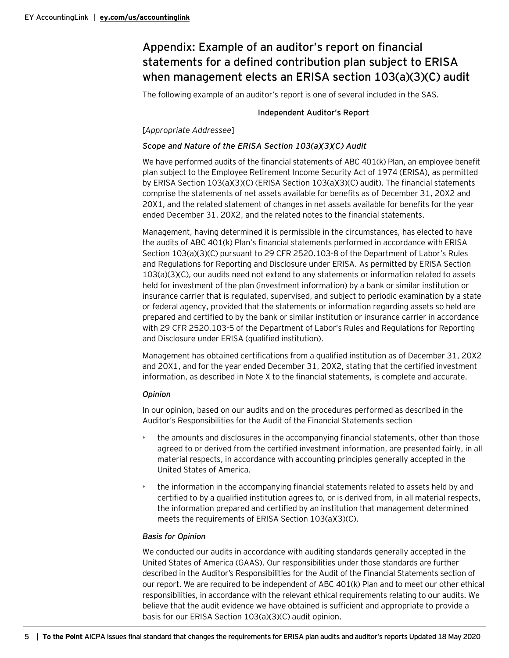# Appendix: Example of an auditor's report on financial statements for a defined contribution plan subject to ERISA when management elects an ERISA section 103(a)(3)(C) audit

The following example of an auditor's report is one of several included in the SAS.

### **Independent Auditor's Report**

# [*Appropriate Addressee*]

# Scope and Nature of the ERISA Section 103(a)(3)(C) Audit

We have performed audits of the financial statements of ABC 401(k) Plan, an employee benefit plan subject to the Employee Retirement Income Security Act of 1974 (ERISA), as permitted by ERISA Section 103(a)(3)(C) (ERISA Section 103(a)(3)(C) audit). The financial statements comprise the statements of net assets available for benefits as of December 31, 20X2 and 20X1, and the related statement of changes in net assets available for benefits for the year ended December 31, 20X2, and the related notes to the financial statements.

Management, having determined it is permissible in the circumstances, has elected to have the audits of ABC 401(k) Plan's financial statements performed in accordance with ERISA Section 103(a)(3)(C) pursuant to 29 CFR 2520.103-8 of the Department of Labor's Rules and Regulations for Reporting and Disclosure under ERISA. As permitted by ERISA Section 103(a)(3)(C), our audits need not extend to any statements or information related to assets held for investment of the plan (investment information) by a bank or similar institution or insurance carrier that is regulated, supervised, and subject to periodic examination by a state or federal agency, provided that the statements or information regarding assets so held are prepared and certified to by the bank or similar institution or insurance carrier in accordance with 29 CFR 2520.103-5 of the Department of Labor's Rules and Regulations for Reporting and Disclosure under ERISA (qualified institution).

Management has obtained certifications from a qualified institution as of December 31, 20X2 and 20X1, and for the year ended December 31, 20X2, stating that the certified investment information, as described in Note X to the financial statements, is complete and accurate.

# *Opinion*

In our opinion, based on our audits and on the procedures performed as described in the Auditor's Responsibilities for the Audit of the Financial Statements section

- the amounts and disclosures in the accompanying financial statements, other than those agreed to or derived from the certified investment information, are presented fairly, in all material respects, in accordance with accounting principles generally accepted in the United States of America.
- the information in the accompanying financial statements related to assets held by and certified to by a qualified institution agrees to, or is derived from, in all material respects, the information prepared and certified by an institution that management determined meets the requirements of ERISA Section 103(a)(3)(C).

# *Basis for Opinion*

We conducted our audits in accordance with auditing standards generally accepted in the United States of America (GAAS). Our responsibilities under those standards are further described in the Auditor's Responsibilities for the Audit of the Financial Statements section of our report. We are required to be independent of ABC 401(k) Plan and to meet our other ethical responsibilities, in accordance with the relevant ethical requirements relating to our audits. We believe that the audit evidence we have obtained is sufficient and appropriate to provide a basis for our ERISA Section 103(a)(3)(C) audit opinion.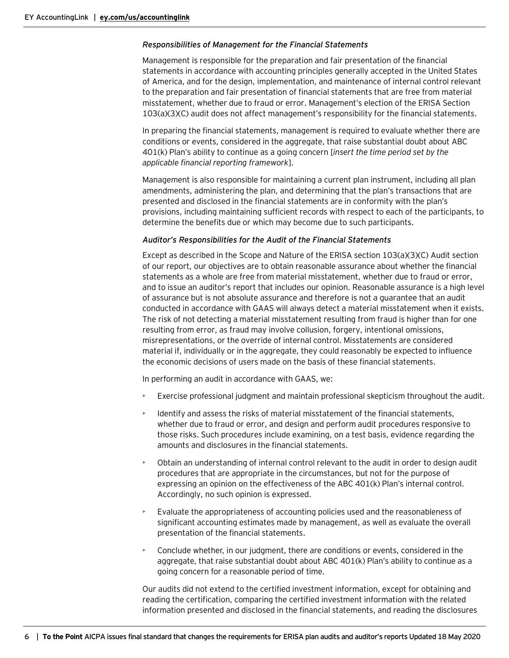### *Responsibilities of Management for the Financial Statements*

Management is responsible for the preparation and fair presentation of the financial statements in accordance with accounting principles generally accepted in the United States of America, and for the design, implementation, and maintenance of internal control relevant to the preparation and fair presentation of financial statements that are free from material misstatement, whether due to fraud or error. Management's election of the ERISA Section 103(a)(3)(C) audit does not affect management's responsibility for the financial statements.

In preparing the financial statements, management is required to evaluate whether there are conditions or events, considered in the aggregate, that raise substantial doubt about ABC 401(k) Plan's ability to continue as a going concern [*insert the time period set by the applicable financial reporting framework*].

Management is also responsible for maintaining a current plan instrument, including all plan amendments, administering the plan, and determining that the plan's transactions that are presented and disclosed in the financial statements are in conformity with the plan's provisions, including maintaining sufficient records with respect to each of the participants, to determine the benefits due or which may become due to such participants.

# *Auditor's Responsibilities for the Audit of the Financial Statements*

Except as described in the Scope and Nature of the ERISA section 103(a)(3)(C) Audit section of our report, our objectives are to obtain reasonable assurance about whether the financial statements as a whole are free from material misstatement, whether due to fraud or error, and to issue an auditor's report that includes our opinion. Reasonable assurance is a high level of assurance but is not absolute assurance and therefore is not a guarantee that an audit conducted in accordance with GAAS will always detect a material misstatement when it exists. The risk of not detecting a material misstatement resulting from fraud is higher than for one resulting from error, as fraud may involve collusion, forgery, intentional omissions, misrepresentations, or the override of internal control. Misstatements are considered material if, individually or in the aggregate, they could reasonably be expected to influence the economic decisions of users made on the basis of these financial statements.

In performing an audit in accordance with GAAS, we:

- Exercise professional judgment and maintain professional skepticism throughout the audit.
- Identify and assess the risks of material misstatement of the financial statements, whether due to fraud or error, and design and perform audit procedures responsive to those risks. Such procedures include examining, on a test basis, evidence regarding the amounts and disclosures in the financial statements.
- Obtain an understanding of internal control relevant to the audit in order to design audit procedures that are appropriate in the circumstances, but not for the purpose of expressing an opinion on the effectiveness of the ABC 401(k) Plan's internal control. Accordingly, no such opinion is expressed.
- Evaluate the appropriateness of accounting policies used and the reasonableness of significant accounting estimates made by management, as well as evaluate the overall presentation of the financial statements.
- Conclude whether, in our judgment, there are conditions or events, considered in the aggregate, that raise substantial doubt about ABC 401(k) Plan's ability to continue as a going concern for a reasonable period of time.

Our audits did not extend to the certified investment information, except for obtaining and reading the certification, comparing the certified investment information with the related information presented and disclosed in the financial statements, and reading the disclosures